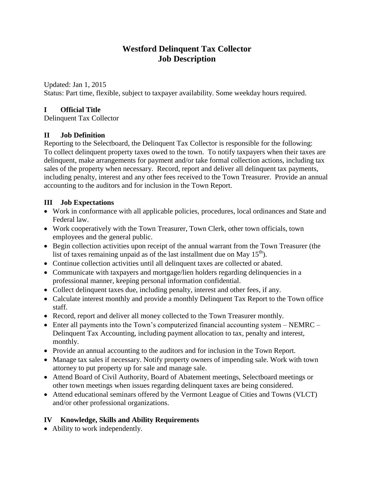# **Westford Delinquent Tax Collector Job Description**

Updated: Jan 1, 2015 Status: Part time, flexible, subject to taxpayer availability. Some weekday hours required.

### **I Official Title**

Delinquent Tax Collector

### **II Job Definition**

Reporting to the Selectboard, the Delinquent Tax Collector is responsible for the following: To collect delinquent property taxes owed to the town. To notify taxpayers when their taxes are delinquent, make arrangements for payment and/or take formal collection actions, including tax sales of the property when necessary. Record, report and deliver all delinquent tax payments, including penalty, interest and any other fees received to the Town Treasurer. Provide an annual accounting to the auditors and for inclusion in the Town Report.

### **III Job Expectations**

- Work in conformance with all applicable policies, procedures, local ordinances and State and Federal law.
- Work cooperatively with the Town Treasurer, Town Clerk, other town officials, town employees and the general public.
- Begin collection activities upon receipt of the annual warrant from the Town Treasurer (the list of taxes remaining unpaid as of the last installment due on May  $15<sup>th</sup>$ .
- Continue collection activities until all delinquent taxes are collected or abated.
- Communicate with taxpayers and mortgage/lien holders regarding delinquencies in a professional manner, keeping personal information confidential.
- Collect delinquent taxes due, including penalty, interest and other fees, if any.
- Calculate interest monthly and provide a monthly Delinquent Tax Report to the Town office staff.
- Record, report and deliver all money collected to the Town Treasurer monthly.
- Enter all payments into the Town's computerized financial accounting system NEMRC Delinquent Tax Accounting, including payment allocation to tax, penalty and interest, monthly.
- Provide an annual accounting to the auditors and for inclusion in the Town Report.
- Manage tax sales if necessary. Notify property owners of impending sale. Work with town attorney to put property up for sale and manage sale.
- Attend Board of Civil Authority, Board of Abatement meetings, Selectboard meetings or other town meetings when issues regarding delinquent taxes are being considered.
- Attend educational seminars offered by the Vermont League of Cities and Towns (VLCT) and/or other professional organizations.

## **IV Knowledge, Skills and Ability Requirements**

• Ability to work independently.